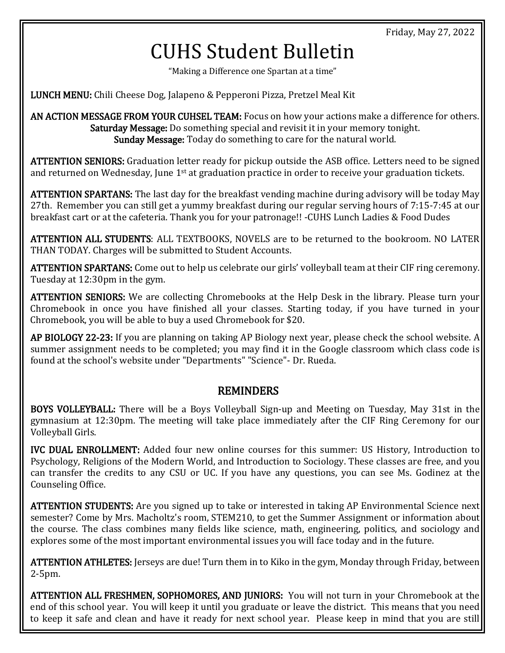## CUHS Student Bulletin

"Making a Difference one Spartan at a time"

LUNCH MENU: Chili Cheese Dog, Jalapeno & Pepperoni Pizza, Pretzel Meal Kit

AN ACTION MESSAGE FROM YOUR CUHSEL TEAM: Focus on how your actions make a difference for others. Saturday Message: Do something special and revisit it in your memory tonight. Sunday Message: Today do something to care for the natural world.

ATTENTION SENIORS: Graduation letter ready for pickup outside the ASB office. Letters need to be signed and returned on Wednesday, June 1<sup>st</sup> at graduation practice in order to receive your graduation tickets.

ATTENTION SPARTANS: The last day for the breakfast vending machine during advisory will be today May 27th. Remember you can still get a yummy breakfast during our regular serving hours of 7:15-7:45 at our breakfast cart or at the cafeteria. Thank you for your patronage!! -CUHS Lunch Ladies & Food Dudes

ATTENTION ALL STUDENTS: ALL TEXTBOOKS, NOVELS are to be returned to the bookroom. NO LATER THAN TODAY. Charges will be submitted to Student Accounts.

ATTENTION SPARTANS: Come out to help us celebrate our girls' volleyball team at their CIF ring ceremony. Tuesday at 12:30pm in the gym.

ATTENTION SENIORS: We are collecting Chromebooks at the Help Desk in the library. Please turn your Chromebook in once you have finished all your classes. Starting today, if you have turned in your Chromebook, you will be able to buy a used Chromebook for \$20.

AP BIOLOGY 22-23: If you are planning on taking AP Biology next year, please check the school website. A summer assignment needs to be completed; you may find it in the Google classroom which class code is found at the school's website under "Departments" "Science"- Dr. Rueda.

## REMINDERS

BOYS VOLLEYBALL: There will be a Boys Volleyball Sign-up and Meeting on Tuesday, May 31st in the gymnasium at 12:30pm. The meeting will take place immediately after the CIF Ring Ceremony for our Volleyball Girls.

IVC DUAL ENROLLMENT: Added four new online courses for this summer: US History, Introduction to Psychology, Religions of the Modern World, and Introduction to Sociology. These classes are free, and you can transfer the credits to any CSU or UC. If you have any questions, you can see Ms. Godinez at the Counseling Office.

ATTENTION STUDENTS: Are you signed up to take or interested in taking AP Environmental Science next semester? Come by Mrs. Macholtz's room, STEM210, to get the Summer Assignment or information about the course. The class combines many fields like science, math, engineering, politics, and sociology and explores some of the most important environmental issues you will face today and in the future.

ATTENTION ATHLETES: Jerseys are due! Turn them in to Kiko in the gym, Monday through Friday, between 2-5pm.

ATTENTION ALL FRESHMEN, SOPHOMORES, AND JUNIORS: You will not turn in your Chromebook at the end of this school year. You will keep it until you graduate or leave the district. This means that you need to keep it safe and clean and have it ready for next school year. Please keep in mind that you are still